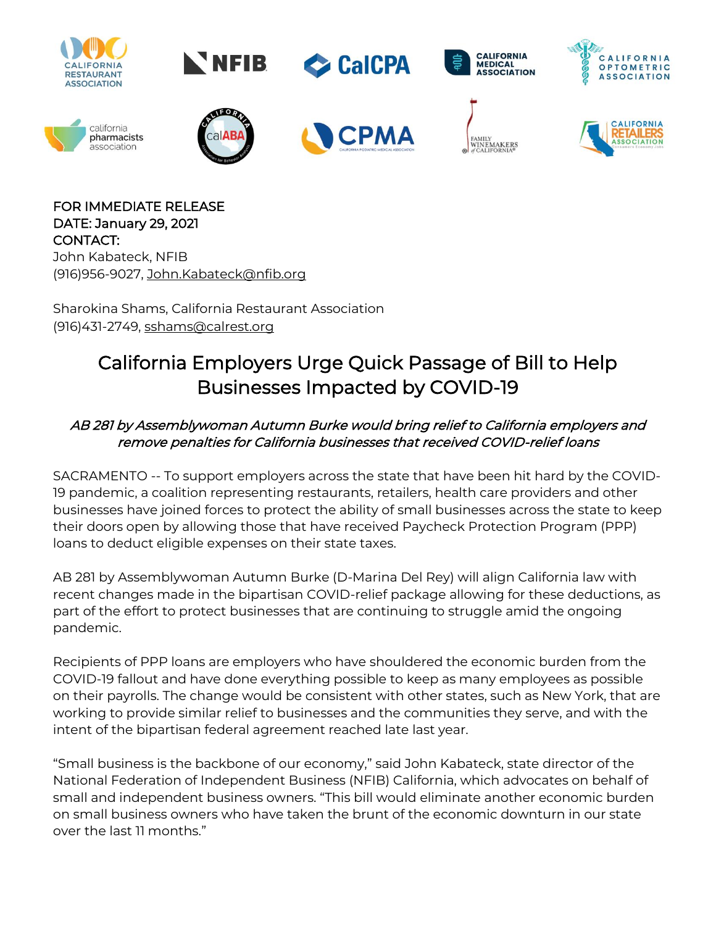

FOR IMMEDIATE RELEASE DATE: January 29, 2021 CONTACT: John Kabateck, NFIB (916)956-9027, [John.Kabateck@nfib.org](mailto:John.Kabateck@nfib.org)

Sharokina Shams, California Restaurant Association (916)431-2749, [sshams@calrest.org](mailto:sshams@calrest.org)

## California Employers Urge Quick Passage of Bill to Help Businesses Impacted by COVID-19

## AB 281 by Assemblywoman Autumn Burke would bring relief to California employers and remove penalties for California businesses that received COVID-relief loans

SACRAMENTO -- To support employers across the state that have been hit hard by the COVID-19 pandemic, a coalition representing restaurants, retailers, health care providers and other businesses have joined forces to protect the ability of small businesses across the state to keep their doors open by allowing those that have received Paycheck Protection Program (PPP) loans to deduct eligible expenses on their state taxes.

AB 281 by Assemblywoman Autumn Burke (D-Marina Del Rey) will align California law with recent changes made in the bipartisan COVID-relief package allowing for these deductions, as part of the effort to protect businesses that are continuing to struggle amid the ongoing pandemic.

Recipients of PPP loans are employers who have shouldered the economic burden from the COVID-19 fallout and have done everything possible to keep as many employees as possible on their payrolls. The change would be consistent with other states, such as New York, that are working to provide similar relief to businesses and the communities they serve, and with the intent of the bipartisan federal agreement reached late last year.

"Small business is the backbone of our economy," said John Kabateck, state director of the National Federation of Independent Business (NFIB) California, which advocates on behalf of small and independent business owners. "This bill would eliminate another economic burden on small business owners who have taken the brunt of the economic downturn in our state over the last 11 months."